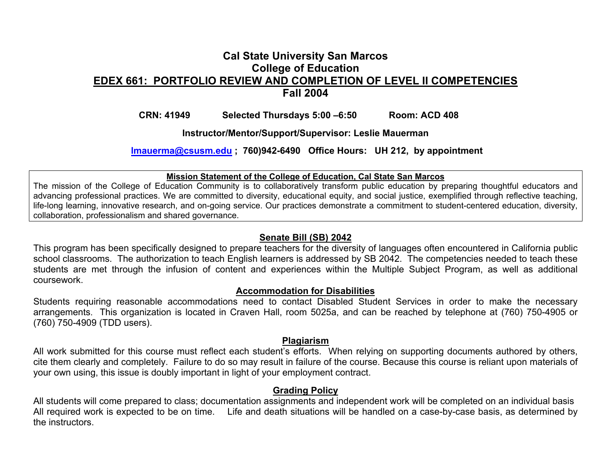## **Cal State University San Marcos College of Education EDEX 661: PORTFOLIO REVIEW AND COMPLETION OF LEVEL II COMPETENCIESFall 2004**

### **CRN: 41949 Selected Thursdays 5:00 –6:50 Room: ACD 408**

**Instructor/Mentor/Support/Supervisor: Leslie Mauerman** 

**lmauerma@csusm.edu ; 760)942-6490 Office Hours: UH 212, by appointment** 

#### **Mission Statement of the College of Education, Cal State San Marcos**

The mission of the College of Education Community is to collaboratively transform public education by preparing thoughtful educators and advancing professional practices. We are committed to diversity, educational equity, and social justice, exemplified through reflective teaching, life-long learning, innovative research, and on-going service. Our practices demonstrate a commitment to student-centered education, diversity, collaboration, professionalism and shared governance.

### **Senate Bill (SB) 2042**

This program has been specifically designed to prepare teachers for the diversity of languages often encountered in California public school classrooms. The authorization to teach English learners is addressed by SB 2042. The competencies needed to teach these students are met through the infusion of content and experiences within the Multiple Subject Program, as well as additional coursework.

#### **Accommodation for Disabilities**

Students requiring reasonable accommodations need to contact Disabled Student Services in order to make the necessary arrangements. This organization is located in Craven Hall, room 5025a, and can be reached by telephone at (760) 750-4905 or (760) 750-4909 (TDD users).

#### **Plagiarism**

All work submitted for this course must reflect each student's efforts. When relying on supporting documents authored by others, cite them clearly and completely. Failure to do so may result in failure of the course. Because this course is reliant upon materials of your own using, this issue is doubly important in light of your employment contract.

### **Grading Policy**

All students will come prepared to class; documentation assignments and independent work will be completed on an individual basis All required work is expected to be on time. Life and death situations will be handled on a case-by-case basis, as determined by the instructors.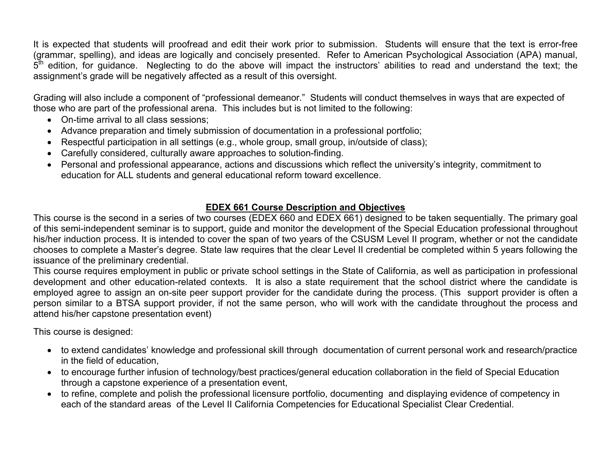It is expected that students will proofread and edit their work prior to submission. Students will ensure that the text is error-free (grammar, spelling), and ideas are logically and concisely presented. Refer to American Psychological Association (APA) manual,  $5<sup>th</sup>$  edition, for quidance. Neglecting to do the above will impact the instructors' abilities to read and understand the text; the assignment's grade will be negatively affected as a result of this oversight.

Grading will also include a component of "professional demeanor." Students will conduct themselves in ways that are expected of those who are part of the professional arena. This includes but is not limited to the following:

- On-time arrival to all class sessions;
- Advance preparation and timely submission of documentation in a professional portfolio;
- Respectful participation in all settings (e.g., whole group, small group, in/outside of class);
- Carefully considered, culturally aware approaches to solution-finding.
- Personal and professional appearance, actions and discussions which reflect the university's integrity, commitment to education for ALL students and general educational reform toward excellence.

## **EDEX 661 Course Description and Objectives**

This course is the second in a series of two courses (EDEX 660 and EDEX 661) designed to be taken sequentially. The primary goal of this semi-independent seminar is to support, guide and monitor the development of the Special Education professional throughout his/her induction process. It is intended to cover the span of two years of the CSUSM Level II program, whether or not the candidate chooses to complete a Master's degree. State law requires that the clear Level II credential be completed within 5 years following the issuance of the preliminary credential.

This course requires employment in public or private school settings in the State of California, as well as participation in professional development and other education-related contexts. It is also a state requirement that the school district where the candidate is employed agree to assign an on-site peer support provider for the candidate during the process. (This support provider is often a person similar to a BTSA support provider, if not the same person, who will work with the candidate throughout the process and attend his/her capstone presentation event)

This course is designed:

- to extend candidates' knowledge and professional skill through documentation of current personal work and research/practice in the field of education,
- to encourage further infusion of technology/best practices/general education collaboration in the field of Special Education through a capstone experience of a presentation event,
- to refine, complete and polish the professional licensure portfolio, documenting and displaying evidence of competency in each of the standard areas of the Level II California Competencies for Educational Specialist Clear Credential.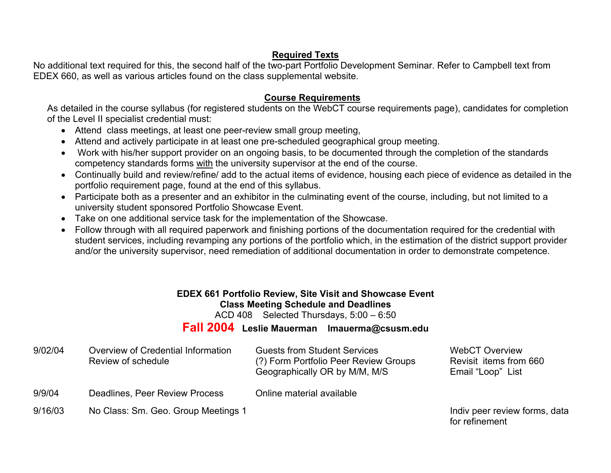### **Required Texts**

No additional text required for this, the second half of the two-part Portfolio Development Seminar. Refer to Campbell text from EDEX 660, as well as various articles found on the class supplemental website.

### **Course Requirements**

As detailed in the course syllabus (for registered students on the WebCT course requirements page), candidates for completion of the Level II specialist credential must:

- Attend class meetings, at least one peer-review small group meeting,
- Attend and actively participate in at least one pre-scheduled geographical group meeting.
- Work with his/her support provider on an ongoing basis, to be documented through the completion of the standards competency standards forms with the university supervisor at the end of the course.
- Continually build and review/refine/ add to the actual items of evidence, housing each piece of evidence as detailed in the portfolio requirement page, found at the end of this syllabus.
- Participate both as a presenter and an exhibitor in the culminating event of the course, including, but not limited to a university student sponsored Portfolio Showcase Event.
- Take on one additional service task for the implementation of the Showcase.
- Follow through with all required paperwork and finishing portions of the documentation required for the credential with student services, including revamping any portions of the portfolio which, in the estimation of the district support provider and/or the university supervisor, need remediation of additional documentation in order to demonstrate competence.

# **EDEX 661 Portfolio Review, Site Visit and Showcase Event Class Meeting Schedule and Deadlines**

ACD 408 Selected Thursdays, 5:00 – 6:50

# **Fall 2004 Leslie Mauerman lmauerma@csusm.edu**

| 9/02/04 | Overview of Credential Information<br>Review of schedule | <b>Guests from Student Services</b><br>(?) Form Portfolio Peer Review Groups<br>Geographically OR by M/M, M/S | <b>WebCT Overview</b><br>Revisit items from 660<br>Email "Loop" List |
|---------|----------------------------------------------------------|---------------------------------------------------------------------------------------------------------------|----------------------------------------------------------------------|
| 9/9/04  | Deadlines, Peer Review Process                           | Online material available                                                                                     |                                                                      |
| 9/16/03 | No Class: Sm. Geo. Group Meetings 1                      |                                                                                                               | Indiv peer review forms, data                                        |

for refinement